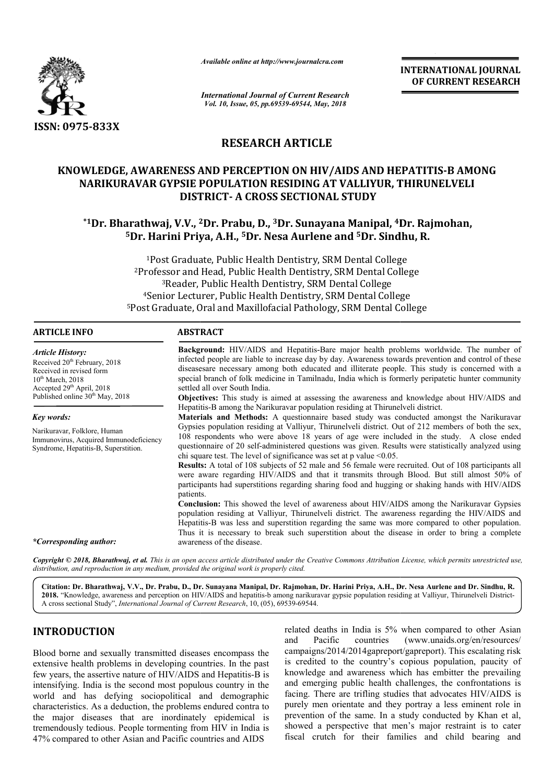

*Available online at http://www.journalcra.com*

# **RESEARCH ARTICLE**

# **KNOWLEDGE, AWARENESS AND PERCEPTION ON HIV/AIDS AND HEPATITIS HEPATITIS-B AMONG NARIKURAVAR GYPSIE POPULATION RESIDING AT VALLIYUR, THIRUNELVELI DISTRICT DISTRICT- A CROSS SECTIONAL STUDY**

# **\*1Dr. Bharathwaj, V.V., 2 2Dr. Prabu, D., 3Dr. Sunayana Manipal, 4Dr. Rajmohan, Dr. Dr. Sindhu, R. 5Dr. Harini Priya Dr. Priya, A.H., 5Dr. Nesa Aurlene and 5Dr. Sindhu**

|                                                                                                                                                                                                                                                                                                                                                                                                                                                                                                                                                                                      | лтанион опине игнир.//www.journancra.com                                                                                                                                                                                                                                                                                                                                                                                                                                                                                                                                                                                                                                                                                                                                                                                                                                                                                                                                                                                                                                                                                                                                                                                                                                                                                                                                                                                                                                                                                                                                                                                                                                                                                                                                                                                                                                      |                                                                                                                                                                                                                         | <b>INTERNATIONAL JOURNAL</b><br>OF CURRENT RESEARCH                                                                                                                                                                                                                                                                                                                                                                                                                                                                                                                                                                 |  |
|--------------------------------------------------------------------------------------------------------------------------------------------------------------------------------------------------------------------------------------------------------------------------------------------------------------------------------------------------------------------------------------------------------------------------------------------------------------------------------------------------------------------------------------------------------------------------------------|-------------------------------------------------------------------------------------------------------------------------------------------------------------------------------------------------------------------------------------------------------------------------------------------------------------------------------------------------------------------------------------------------------------------------------------------------------------------------------------------------------------------------------------------------------------------------------------------------------------------------------------------------------------------------------------------------------------------------------------------------------------------------------------------------------------------------------------------------------------------------------------------------------------------------------------------------------------------------------------------------------------------------------------------------------------------------------------------------------------------------------------------------------------------------------------------------------------------------------------------------------------------------------------------------------------------------------------------------------------------------------------------------------------------------------------------------------------------------------------------------------------------------------------------------------------------------------------------------------------------------------------------------------------------------------------------------------------------------------------------------------------------------------------------------------------------------------------------------------------------------------|-------------------------------------------------------------------------------------------------------------------------------------------------------------------------------------------------------------------------|---------------------------------------------------------------------------------------------------------------------------------------------------------------------------------------------------------------------------------------------------------------------------------------------------------------------------------------------------------------------------------------------------------------------------------------------------------------------------------------------------------------------------------------------------------------------------------------------------------------------|--|
|                                                                                                                                                                                                                                                                                                                                                                                                                                                                                                                                                                                      | <b>International Journal of Current Research</b><br>Vol. 10, Issue, 05, pp.69539-69544, May, 2018                                                                                                                                                                                                                                                                                                                                                                                                                                                                                                                                                                                                                                                                                                                                                                                                                                                                                                                                                                                                                                                                                                                                                                                                                                                                                                                                                                                                                                                                                                                                                                                                                                                                                                                                                                             |                                                                                                                                                                                                                         |                                                                                                                                                                                                                                                                                                                                                                                                                                                                                                                                                                                                                     |  |
| ISSN: 0975-833X                                                                                                                                                                                                                                                                                                                                                                                                                                                                                                                                                                      |                                                                                                                                                                                                                                                                                                                                                                                                                                                                                                                                                                                                                                                                                                                                                                                                                                                                                                                                                                                                                                                                                                                                                                                                                                                                                                                                                                                                                                                                                                                                                                                                                                                                                                                                                                                                                                                                               |                                                                                                                                                                                                                         |                                                                                                                                                                                                                                                                                                                                                                                                                                                                                                                                                                                                                     |  |
|                                                                                                                                                                                                                                                                                                                                                                                                                                                                                                                                                                                      | <b>RESEARCH ARTICLE</b>                                                                                                                                                                                                                                                                                                                                                                                                                                                                                                                                                                                                                                                                                                                                                                                                                                                                                                                                                                                                                                                                                                                                                                                                                                                                                                                                                                                                                                                                                                                                                                                                                                                                                                                                                                                                                                                       |                                                                                                                                                                                                                         |                                                                                                                                                                                                                                                                                                                                                                                                                                                                                                                                                                                                                     |  |
| KNOWLEDGE, AWARENESS AND PERCEPTION ON HIV/AIDS AND HEPATITIS-B AMONG                                                                                                                                                                                                                                                                                                                                                                                                                                                                                                                |                                                                                                                                                                                                                                                                                                                                                                                                                                                                                                                                                                                                                                                                                                                                                                                                                                                                                                                                                                                                                                                                                                                                                                                                                                                                                                                                                                                                                                                                                                                                                                                                                                                                                                                                                                                                                                                                               | NARIKURAVAR GYPSIE POPULATION RESIDING AT VALLIYUR, THIRUNELVELI<br><b>DISTRICT- A CROSS SECTIONAL STUDY</b>                                                                                                            |                                                                                                                                                                                                                                                                                                                                                                                                                                                                                                                                                                                                                     |  |
|                                                                                                                                                                                                                                                                                                                                                                                                                                                                                                                                                                                      |                                                                                                                                                                                                                                                                                                                                                                                                                                                                                                                                                                                                                                                                                                                                                                                                                                                                                                                                                                                                                                                                                                                                                                                                                                                                                                                                                                                                                                                                                                                                                                                                                                                                                                                                                                                                                                                                               | *1Dr. Bharathwaj, V.V., <sup>2</sup> Dr. Prabu, D., <sup>3</sup> Dr. Sunayana Manipal, <sup>4</sup> Dr. Rajmohan,<br><sup>5</sup> Dr. Harini Priya, A.H., <sup>5</sup> Dr. Nesa Aurlene and <sup>5</sup> Dr. Sindhu, R. |                                                                                                                                                                                                                                                                                                                                                                                                                                                                                                                                                                                                                     |  |
|                                                                                                                                                                                                                                                                                                                                                                                                                                                                                                                                                                                      |                                                                                                                                                                                                                                                                                                                                                                                                                                                                                                                                                                                                                                                                                                                                                                                                                                                                                                                                                                                                                                                                                                                                                                                                                                                                                                                                                                                                                                                                                                                                                                                                                                                                                                                                                                                                                                                                               | <sup>1</sup> Post Graduate, Public Health Dentistry, SRM Dental College                                                                                                                                                 |                                                                                                                                                                                                                                                                                                                                                                                                                                                                                                                                                                                                                     |  |
|                                                                                                                                                                                                                                                                                                                                                                                                                                                                                                                                                                                      |                                                                                                                                                                                                                                                                                                                                                                                                                                                                                                                                                                                                                                                                                                                                                                                                                                                                                                                                                                                                                                                                                                                                                                                                                                                                                                                                                                                                                                                                                                                                                                                                                                                                                                                                                                                                                                                                               | <sup>2</sup> Professor and Head, Public Health Dentistry, SRM Dental College                                                                                                                                            |                                                                                                                                                                                                                                                                                                                                                                                                                                                                                                                                                                                                                     |  |
|                                                                                                                                                                                                                                                                                                                                                                                                                                                                                                                                                                                      |                                                                                                                                                                                                                                                                                                                                                                                                                                                                                                                                                                                                                                                                                                                                                                                                                                                                                                                                                                                                                                                                                                                                                                                                                                                                                                                                                                                                                                                                                                                                                                                                                                                                                                                                                                                                                                                                               | <sup>3</sup> Reader, Public Health Dentistry, SRM Dental College                                                                                                                                                        |                                                                                                                                                                                                                                                                                                                                                                                                                                                                                                                                                                                                                     |  |
|                                                                                                                                                                                                                                                                                                                                                                                                                                                                                                                                                                                      |                                                                                                                                                                                                                                                                                                                                                                                                                                                                                                                                                                                                                                                                                                                                                                                                                                                                                                                                                                                                                                                                                                                                                                                                                                                                                                                                                                                                                                                                                                                                                                                                                                                                                                                                                                                                                                                                               | <sup>4</sup> Senior Lecturer, Public Health Dentistry, SRM Dental College<br><sup>5</sup> Post Graduate, Oral and Maxillofacial Pathology, SRM Dental College                                                           |                                                                                                                                                                                                                                                                                                                                                                                                                                                                                                                                                                                                                     |  |
|                                                                                                                                                                                                                                                                                                                                                                                                                                                                                                                                                                                      |                                                                                                                                                                                                                                                                                                                                                                                                                                                                                                                                                                                                                                                                                                                                                                                                                                                                                                                                                                                                                                                                                                                                                                                                                                                                                                                                                                                                                                                                                                                                                                                                                                                                                                                                                                                                                                                                               |                                                                                                                                                                                                                         |                                                                                                                                                                                                                                                                                                                                                                                                                                                                                                                                                                                                                     |  |
| <b>ARTICLE INFO</b>                                                                                                                                                                                                                                                                                                                                                                                                                                                                                                                                                                  | <b>ABSTRACT</b>                                                                                                                                                                                                                                                                                                                                                                                                                                                                                                                                                                                                                                                                                                                                                                                                                                                                                                                                                                                                                                                                                                                                                                                                                                                                                                                                                                                                                                                                                                                                                                                                                                                                                                                                                                                                                                                               |                                                                                                                                                                                                                         |                                                                                                                                                                                                                                                                                                                                                                                                                                                                                                                                                                                                                     |  |
| <b>Article History:</b><br>Received 20 <sup>th</sup> February, 2018<br>Received in revised form<br>$10^{th}$ March, 2018<br>Accepted 29th April, 2018<br>Published online 30 <sup>th</sup> May, 2018<br><b>Key words:</b><br>Narikuravar, Folklore, Human<br>Immunovirus, Acquired Immunodeficiency<br>Syndrome, Hepatitis-B, Superstition.<br>*Corresponding author:                                                                                                                                                                                                                | Background: HIV/AIDS and Hepatitis-Bare major health problems worldwide. The number of<br>infected people are liable to increase day by day. Awareness towards prevention and control of these<br>diseasesare necessary among both educated and illiterate people. This study is concerned with a<br>special branch of folk medicine in Tamilnadu, India which is formerly peripatetic hunter community<br>settled all over South India.<br>Objectives: This study is aimed at assessing the awareness and knowledge about HIV/AIDS and<br>Hepatitis-B among the Narikuravar population residing at Thirunelveli district.<br>Materials and Methods: A questionnaire based study was conducted amongst the Narikuravar<br>Gypsies population residing at Valliyur, Thirunelveli district. Out of 212 members of both the sex,<br>108 respondents who were above 18 years of age were included in the study. A close ended<br>questionnaire of 20 self-administered questions was given. Results were statistically analyzed using<br>chi square test. The level of significance was set at p value $\leq 0.05$ .<br>Results: A total of 108 subjects of 52 male and 56 female were recruited. Out of 108 participants all<br>were aware regarding HIV/AIDS and that it transmits through Blood. But still almost 50% of<br>participants had superstitions regarding sharing food and hugging or shaking hands with HIV/AIDS<br>patients.<br>Conclusion: This showed the level of awareness about HIV/AIDS among the Narikuravar Gypsies<br>population residing at Valliyur, Thirunelveli district. The awareness regarding the HIV/AIDS and<br>Hepatitis-B was less and superstition regarding the same was more compared to other population.<br>Thus it is necessary to break such superstition about the disease in order to bring a complete<br>awareness of the disease. |                                                                                                                                                                                                                         |                                                                                                                                                                                                                                                                                                                                                                                                                                                                                                                                                                                                                     |  |
| Copyright © 2018, Bharathwaj, et al. This is an open access article distributed under the Creative Commons Attribution License, which permits unrestricted use,<br>distribution, and reproduction in any medium, provided the original work is properly cited.                                                                                                                                                                                                                                                                                                                       |                                                                                                                                                                                                                                                                                                                                                                                                                                                                                                                                                                                                                                                                                                                                                                                                                                                                                                                                                                                                                                                                                                                                                                                                                                                                                                                                                                                                                                                                                                                                                                                                                                                                                                                                                                                                                                                                               |                                                                                                                                                                                                                         |                                                                                                                                                                                                                                                                                                                                                                                                                                                                                                                                                                                                                     |  |
| A cross sectional Study", International Journal of Current Research, 10, (05), 69539-69544.                                                                                                                                                                                                                                                                                                                                                                                                                                                                                          |                                                                                                                                                                                                                                                                                                                                                                                                                                                                                                                                                                                                                                                                                                                                                                                                                                                                                                                                                                                                                                                                                                                                                                                                                                                                                                                                                                                                                                                                                                                                                                                                                                                                                                                                                                                                                                                                               |                                                                                                                                                                                                                         | Citation: Dr. Bharathwaj, V.V., Dr. Prabu, D., Dr. Sunayana Manipal, Dr. Rajmohan, Dr. Harini Priya, A.H., Dr. Nesa Aurlene and Dr. Sindhu, R.<br>2018. "Knowledge, awareness and perception on HIV/AIDS and hepatitis-b among narikuravar gypsie population residing at Valliyur, Thirunelveli District-                                                                                                                                                                                                                                                                                                           |  |
| <b>INTRODUCTION</b>                                                                                                                                                                                                                                                                                                                                                                                                                                                                                                                                                                  |                                                                                                                                                                                                                                                                                                                                                                                                                                                                                                                                                                                                                                                                                                                                                                                                                                                                                                                                                                                                                                                                                                                                                                                                                                                                                                                                                                                                                                                                                                                                                                                                                                                                                                                                                                                                                                                                               |                                                                                                                                                                                                                         | related deaths in India is 5% when compared to other Asian                                                                                                                                                                                                                                                                                                                                                                                                                                                                                                                                                          |  |
| Blood borne and sexually transmitted diseases encompass the<br>extensive health problems in developing countries. In the past<br>few years, the assertive nature of HIV/AIDS and Hepatitis-B is<br>intensifying. India is the second most populous country in the<br>world and has defying sociopolitical and demographic<br>characteristics. As a deduction, the problems endured contra to<br>the major diseases that are inordinately epidemical is<br>tremendously tedious. People tormenting from HIV in India is<br>47% compared to other Asian and Pacific countries and AIDS |                                                                                                                                                                                                                                                                                                                                                                                                                                                                                                                                                                                                                                                                                                                                                                                                                                                                                                                                                                                                                                                                                                                                                                                                                                                                                                                                                                                                                                                                                                                                                                                                                                                                                                                                                                                                                                                                               | Pacific<br>countries<br>and                                                                                                                                                                                             | (www.unaids.org/en/resources/<br>campaigns/2014/2014gapreport/gapreport). This escalating risk<br>is credited to the country's copious population, paucity of<br>knowledge and awareness which has embitter the prevailing<br>and emerging public health challenges, the confrontations is<br>facing. There are trifling studies that advocates HIV/AIDS is<br>purely men orientate and they portray a less eminent role in<br>prevention of the same. In a study conducted by Khan et al,<br>showed a perspective that men's major restraint is to cater<br>fiscal crutch for their families and child bearing and |  |

## **INTRODUCTION**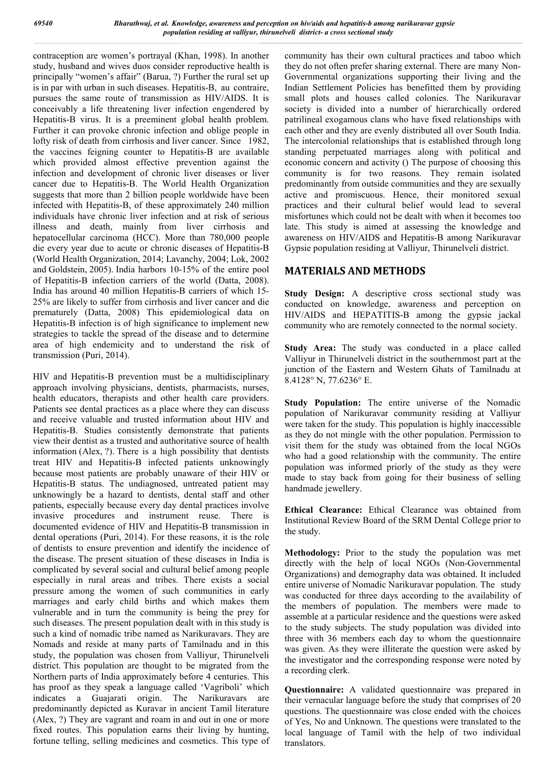contraception are women's portrayal (Khan, 1998). In another study, husband and wives duos consider reproductive health is principally "women's affair" (Barua, ?) Further the rural set up is in par with urban in such diseases. Hepatitis-B, au contraire, pursues the same route of transmission as HIV/AIDS. It is conceivably a life threatening liver infection engendered by Hepatitis-B virus. It is a preeminent global health problem. Further it can provoke chronic infection and oblige people in lofty risk of death from cirrhosis and liver cancer. Since 1982, the vaccines feigning counter to Hepatitis-B are available which provided almost effective prevention against the infection and development of chronic liver diseases or liver cancer due to Hepatitis-B. The World Health Organization suggests that more than 2 billion people worldwide have been infected with Hepatitis-B, of these approximately 240 million individuals have chronic liver infection and at risk of serious illness and death, mainly from liver cirrhosis and hepatocellular carcinoma (HCC). More than 780,000 people die every year due to acute or chronic diseases of Hepatitis-B (World Health Organization, 2014; Lavanchy, 2004; Lok, 2002 and Goldstein, 2005). India harbors 10-15% of the entire pool of Hepatitis-B infection carriers of the world (Datta, 2008). India has around 40 million Hepatitis-B carriers of which 15- 25% are likely to suffer from cirrhosis and liver cancer and die prematurely (Datta, 2008) This epidemiological data on Hepatitis-B infection is of high significance to implement new strategies to tackle the spread of the disease and to determine area of high endemicity and to understand the risk of transmission (Puri, 2014).

HIV and Hepatitis-B prevention must be a multidisciplinary approach involving physicians, dentists, pharmacists, nurses, health educators, therapists and other health care providers. Patients see dental practices as a place where they can discuss and receive valuable and trusted information about HIV and Hepatitis-B. Studies consistently demonstrate that patients view their dentist as a trusted and authoritative source of health information (Alex, ?). There is a high possibility that dentists treat HIV and Hepatitis-B infected patients unknowingly because most patients are probably unaware of their HIV or Hepatitis-B status. The undiagnosed, untreated patient may unknowingly be a hazard to dentists, dental staff and other patients, especially because every day dental practices involve invasive procedures and instrument reuse. There is documented evidence of HIV and Hepatitis-B transmission in dental operations (Puri, 2014). For these reasons, it is the role of dentists to ensure prevention and identify the incidence of the disease. The present situation of these diseases in India is complicated by several social and cultural belief among people especially in rural areas and tribes. There exists a social pressure among the women of such communities in early marriages and early child births and which makes them vulnerable and in turn the community is being the prey for such diseases. The present population dealt with in this study is such a kind of nomadic tribe named as Narikuravars. They are Nomads and reside at many parts of Tamilnadu and in this study, the population was chosen from Valliyur, Thirunelveli district. This population are thought to be migrated from the Northern parts of India approximately before 4 centuries. This has proof as they speak a language called 'Vagriboli' which indicates a Guajarati origin. The Narikuravars are predominantly depicted as Kuravar in ancient Tamil literature (Alex, ?) They are vagrant and roam in and out in one or more fixed routes. This population earns their living by hunting, fortune telling, selling medicines and cosmetics. This type of community has their own cultural practices and taboo which they do not often prefer sharing external. There are many Non-Governmental organizations supporting their living and the Indian Settlement Policies has benefitted them by providing small plots and houses called colonies. The Narikuravar society is divided into a number of hierarchically ordered patrilineal exogamous clans who have fixed relationships with each other and they are evenly distributed all over South India. The intercolonial relationships that is established through long standing perpetuated marriages along with political and economic concern and activity () The purpose of choosing this community is for two reasons. They remain isolated predominantly from outside communities and they are sexually active and promiscuous. Hence, their monitored sexual practices and their cultural belief would lead to several misfortunes which could not be dealt with when it becomes too late. This study is aimed at assessing the knowledge and awareness on HIV/AIDS and Hepatitis-B among Narikuravar Gypsie population residing at Valliyur, Thirunelveli district.

### **MATERIALS AND METHODS**

Study Design: A descriptive cross sectional study was conducted on knowledge, awareness and perception on HIV/AIDS and HEPATITIS-B among the gypsie jackal community who are remotely connected to the normal society.

**Study Area:** The study was conducted in a place called Valliyur in Thirunelveli district in the southernmost part at the junction of the Eastern and Western Ghats of Tamilnadu at 8.4128° N, 77.6236° E.

**Study Population:** The entire universe of the Nomadic population of Narikuravar community residing at Valliyur were taken for the study. This population is highly inaccessible as they do not mingle with the other population. Permission to visit them for the study was obtained from the local NGOs who had a good relationship with the community. The entire population was informed priorly of the study as they were made to stay back from going for their business of selling handmade jewellery.

**Ethical Clearance:** Ethical Clearance was obtained from Institutional Review Board of the SRM Dental College prior to the study.

**Methodology:** Prior to the study the population was met directly with the help of local NGOs (Non-Governmental Organizations) and demography data was obtained. It included entire universe of Nomadic Narikuravar population. The study was conducted for three days according to the availability of the members of population. The members were made to assemble at a particular residence and the questions were asked to the study subjects. The study population was divided into three with 36 members each day to whom the questionnaire was given. As they were illiterate the question were asked by the investigator and the corresponding response were noted by a recording clerk.

**Questionnaire:** A validated questionnaire was prepared in their vernacular language before the study that comprises of 20 questions. The questionnaire was close ended with the choices of Yes, No and Unknown. The questions were translated to the local language of Tamil with the help of two individual translators.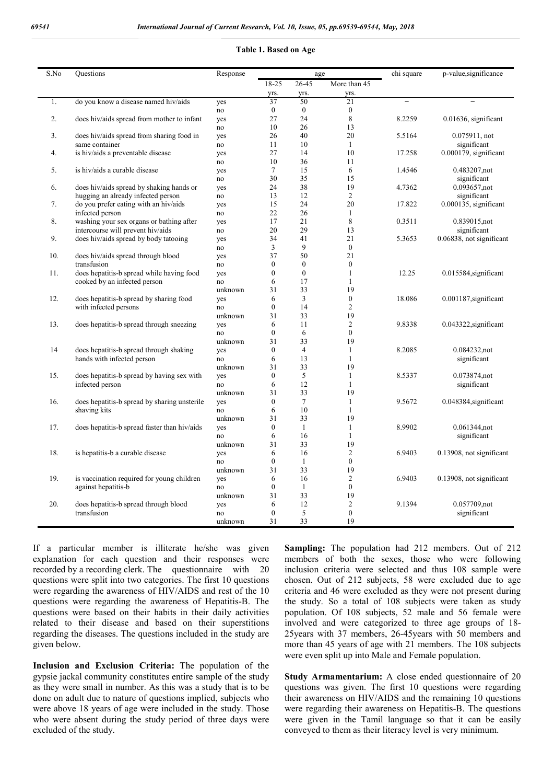|  | Table 1. Based on Age |  |
|--|-----------------------|--|
|--|-----------------------|--|

| S.No | Questions                                    | Response      |                    | age                  |                    | chi square               | p-value, significance    |
|------|----------------------------------------------|---------------|--------------------|----------------------|--------------------|--------------------------|--------------------------|
|      |                                              |               | $18 - 25$          | 26-45                | More than 45       |                          |                          |
|      |                                              |               | yrs.               | yrs.                 | yrs.               |                          |                          |
| 1.   | do you know a disease named hiv/aids         | yes           | 37                 | 50                   | 21                 | $\overline{\phantom{0}}$ |                          |
|      |                                              | no            | $\boldsymbol{0}$   | $\boldsymbol{0}$     | $\boldsymbol{0}$   |                          |                          |
| 2.   | does hiv/aids spread from mother to infant   | yes           | 27                 | 24                   | 8                  | 8.2259                   | $0.01636$ , significant  |
|      |                                              | no            | 10                 | 26                   | 13                 |                          |                          |
| 3.   | does hiv/aids spread from sharing food in    | yes           | 26                 | 40                   | 20                 | 5.5164                   | 0.075911, not            |
|      | same container                               | no            | 11                 | 10                   | $\mathbf{1}$       |                          | significant              |
| 4.   | is hiv/aids a preventable disease            | yes           | 27                 | 14                   | 10                 | 17.258                   | $0.000179$ , significant |
|      |                                              | no            | 10                 | 36                   | 11                 |                          |                          |
| 5.   | is hiv/aids a curable disease                | yes           | 7                  | 15                   | 6                  | 1.4546                   | 0.483207,not             |
|      |                                              | no            | 30                 | 35                   | 15                 |                          | significant              |
| 6.   | does hiv/aids spread by shaking hands or     | yes           | 24                 | 38                   | 19                 | 4.7362                   | 0.093657,not             |
|      | hugging an already infected person           | no            | 13                 | 12                   | $\overline{c}$     |                          | significant              |
| 7.   | do you prefer eating with an hiv/aids        | yes           | 15                 | 24                   | 20                 | 17.822                   | $0.000135$ , significant |
|      | infected person                              | no            | 22                 | 26                   | $\mathbf{1}$       |                          |                          |
| 8.   | washing your sex organs or bathing after     | yes           | 17                 | 21                   | 8                  | 0.3511                   | 0.839015,not             |
|      | intercourse will prevent hiv/aids            | no            | 20                 | 29                   | 13                 |                          | significant              |
| 9.   | does hiv/aids spread by body tatooing        | yes           | 34                 | 41                   | 21                 | 5.3653                   | 0.06838, not significant |
|      |                                              | no            | 3                  | 9                    | $\mathbf{0}$       |                          |                          |
| 10.  | does hiv/aids spread through blood           | yes           | 37                 | 50                   | 21                 |                          |                          |
|      | transfusion                                  | no            | $\mathbf{0}$       | $\mathbf{0}$         | $\mathbf{0}$       |                          |                          |
| 11.  | does hepatitis-b spread while having food    | yes           | $\mathbf{0}$       | $\mathbf{0}$         | 1                  | 12.25                    | $0.015584$ , significant |
|      | cooked by an infected person                 | no            | 6                  | 17                   | $\mathbf{1}$       |                          |                          |
|      |                                              | unknown       | 31                 | 33                   | 19                 |                          |                          |
| 12.  | does hepatitis-b spread by sharing food      | yes           | 6                  | 3                    | $\boldsymbol{0}$   | 18.086                   | 0.001187, significant    |
|      | with infected persons                        | no            | $\mathbf{0}$       | 14                   | $\mathfrak{2}$     |                          |                          |
|      |                                              | unknown       | 31                 | 33                   | 19                 |                          |                          |
| 13.  | does hepatitis-b spread through sneezing     | yes           | 6                  | 11                   | $\mathfrak{2}$     | 9.8338                   | 0.043322, significant    |
|      |                                              | no            | $\boldsymbol{0}$   | 6                    | $\boldsymbol{0}$   |                          |                          |
|      |                                              | unknown       | 31<br>$\mathbf{0}$ | 33<br>$\overline{4}$ | 19<br>$\mathbf{1}$ |                          |                          |
| 14   | does hepatitis-b spread through shaking      | yes           | 6                  | 13                   | $\mathbf{1}$       | 8.2085                   | 0.084232,not             |
|      | hands with infected person                   | no            | 31                 | 33                   | 19                 |                          | significant              |
| 15.  | does hepatitis-b spread by having sex with   | unknown       | $\boldsymbol{0}$   | 5                    | $\mathbf{1}$       | 8.5337                   | 0.073874,not             |
|      | infected person                              | yes           | 6                  | 12                   | $\mathbf{1}$       |                          | significant              |
|      |                                              | no<br>unknown | 31                 | 33                   | 19                 |                          |                          |
| 16.  | does hepatitis-b spread by sharing unsterile | yes           | $\theta$           | $\tau$               | $\mathbf{1}$       | 9.5672                   | 0.048384, significant    |
|      | shaving kits                                 | no            | 6                  | 10                   | $\mathbf{1}$       |                          |                          |
|      |                                              | unknown       | 31                 | 33                   | 19                 |                          |                          |
| 17.  | does hepatitis-b spread faster than hiv/aids | yes           | $\mathbf{0}$       | 1                    | $\mathbf{1}$       | 8.9902                   | 0.061344,not             |
|      |                                              | no            | 6                  | 16                   | 1                  |                          | significant              |
|      |                                              | unknown       | 31                 | 33                   | 19                 |                          |                          |
| 18.  | is hepatitis-b a curable disease             | yes           | 6                  | 16                   | $\mathfrak{2}$     | 6.9403                   | 0.13908, not significant |
|      |                                              | no            | $\mathbf{0}$       | -1                   | $\mathbf{0}$       |                          |                          |
|      |                                              | unknown       | 31                 | 33                   | 19                 |                          |                          |
| 19.  | is vaccination required for young children   | yes           | 6                  | 16                   | $\mathfrak{2}$     | 6.9403                   | 0.13908, not significant |
|      | against hepatitis-b                          | no            | $\mathbf{0}$       | $\mathbf{1}$         | $\mathbf{0}$       |                          |                          |
|      |                                              | unknown       | 31                 | 33                   | 19                 |                          |                          |
| 20.  | does hepatitis-b spread through blood        | yes           | 6                  | 12                   | $\mathfrak{2}$     | 9.1394                   | 0.057709,not             |
|      | transfusion                                  | no            | $\mathbf{0}$       | 5                    | $\mathbf{0}$       |                          | significant              |
|      |                                              | unknown       | 31                 | 33                   | 19                 |                          |                          |

If a particular member is illiterate he/she was given explanation for each question and their responses were recorded by a recording clerk. The questionnaire with 20 questions were split into two categories. The first 10 questions were regarding the awareness of HIV/AIDS and rest of the 10 questions were regarding the awareness of Hepatitis-B. The questions were based on their habits in their daily activities related to their disease and based on their superstitions regarding the diseases. The questions included in the study are given below.

**Inclusion and Exclusion Criteria:** The population of the gypsie jackal community constitutes entire sample of the study as they were small in number. As this was a study that is to be done on adult due to nature of questions implied, subjects who were above 18 years of age were included in the study. Those who were absent during the study period of three days were excluded of the study.

**Sampling:** The population had 212 members. Out of 212 members of both the sexes, those who were following inclusion criteria were selected and thus 108 sample were chosen. Out of 212 subjects, 58 were excluded due to age criteria and 46 were excluded as they were not present during the study. So a total of 108 subjects were taken as study population. Of 108 subjects, 52 male and 56 female were involved and were categorized to three age groups of 18- 25years with 37 members, 26-45years with 50 members and more than 45 years of age with 21 members. The 108 subjects were even split up into Male and Female population.

**Study Armamentarium:** A close ended questionnaire of 20 questions was given. The first 10 questions were regarding their awareness on HIV/AIDS and the remaining 10 questions were regarding their awareness on Hepatitis-B. The questions were given in the Tamil language so that it can be easily conveyed to them as their literacy level is very minimum.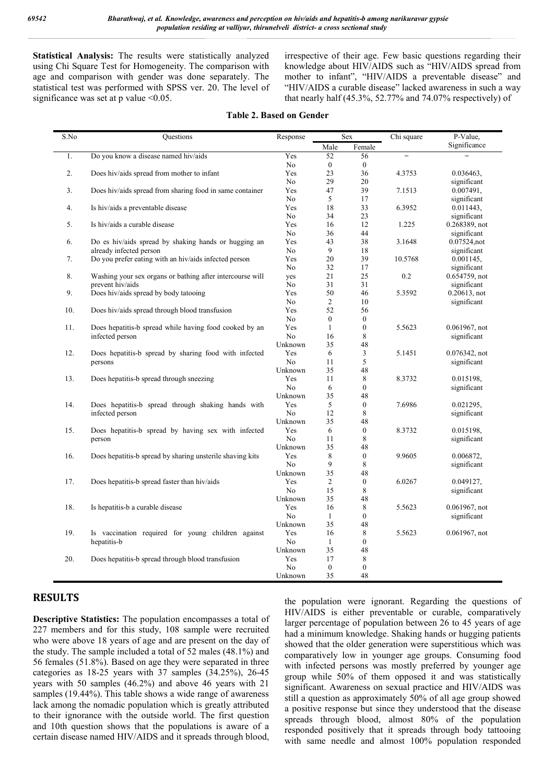**Statistical Analysis:** The results were statistically analyzed using Chi Square Test for Homogeneity. The comparison with age and comparison with gender was done separately. The statistical test was performed with SPSS ver. 20. The level of significance was set at p value  $\leq 0.05$ .

irrespective of their age. Few basic questions regarding their knowledge about HIV/AIDS such as "HIV/AIDS spread from mother to infant", "HIV/AIDS a preventable disease" and "HIV/AIDS a curable disease" lacked awareness in such a way that nearly half (45.3%, 52.77% and 74.07% respectively) of

#### **Table 2. Based on Gender**

| Female<br>Male<br>Yes<br>Do you know a disease named hiv/aids<br>52<br>56<br>1.<br>$\overline{\phantom{0}}$<br>No<br>$\boldsymbol{0}$<br>$\mathbf{0}$<br>2.<br>23<br>36<br>Does hiv/aids spread from mother to infant<br>Yes<br>4.3753<br>29<br>20<br>N <sub>o</sub><br>39<br>3.<br>Does hiv/aids spread from sharing food in same container<br>Yes<br>47<br>7.1513<br>5<br>17<br>N <sub>o</sub><br>Yes<br>33<br>4.<br>Is hiv/aids a preventable disease<br>18<br>6.3952<br>34<br>23<br>No<br>Is hiv/aids a curable disease<br>12<br>5.<br>Yes<br>16<br>1.225 | Significance<br>0.036463.<br>significant<br>0.007491,<br>significant<br>$0.011443$ ,<br>significant<br>$0.268389$ , not |
|---------------------------------------------------------------------------------------------------------------------------------------------------------------------------------------------------------------------------------------------------------------------------------------------------------------------------------------------------------------------------------------------------------------------------------------------------------------------------------------------------------------------------------------------------------------|-------------------------------------------------------------------------------------------------------------------------|
|                                                                                                                                                                                                                                                                                                                                                                                                                                                                                                                                                               |                                                                                                                         |
|                                                                                                                                                                                                                                                                                                                                                                                                                                                                                                                                                               |                                                                                                                         |
|                                                                                                                                                                                                                                                                                                                                                                                                                                                                                                                                                               |                                                                                                                         |
|                                                                                                                                                                                                                                                                                                                                                                                                                                                                                                                                                               |                                                                                                                         |
|                                                                                                                                                                                                                                                                                                                                                                                                                                                                                                                                                               |                                                                                                                         |
|                                                                                                                                                                                                                                                                                                                                                                                                                                                                                                                                                               |                                                                                                                         |
|                                                                                                                                                                                                                                                                                                                                                                                                                                                                                                                                                               |                                                                                                                         |
|                                                                                                                                                                                                                                                                                                                                                                                                                                                                                                                                                               |                                                                                                                         |
|                                                                                                                                                                                                                                                                                                                                                                                                                                                                                                                                                               |                                                                                                                         |
|                                                                                                                                                                                                                                                                                                                                                                                                                                                                                                                                                               |                                                                                                                         |
| 44<br>No<br>36                                                                                                                                                                                                                                                                                                                                                                                                                                                                                                                                                | significant                                                                                                             |
| 43<br>38<br>3.1648<br>6.<br>Do es hiv/aids spread by shaking hands or hugging an<br>Yes                                                                                                                                                                                                                                                                                                                                                                                                                                                                       | 0.07524,not                                                                                                             |
| 9<br>No<br>18<br>already infected person                                                                                                                                                                                                                                                                                                                                                                                                                                                                                                                      | significant                                                                                                             |
| Do you prefer eating with an hiv/aids infected person<br>20<br>39<br>7.<br>Yes<br>10.5768                                                                                                                                                                                                                                                                                                                                                                                                                                                                     | 0.001145,                                                                                                               |
| No<br>32<br>17                                                                                                                                                                                                                                                                                                                                                                                                                                                                                                                                                | significant                                                                                                             |
| Washing your sex organs or bathing after intercourse will<br>21<br>25<br>0.2<br>8.<br>yes                                                                                                                                                                                                                                                                                                                                                                                                                                                                     | 0.654759, not                                                                                                           |
| prevent hiv/aids<br>No<br>31<br>31                                                                                                                                                                                                                                                                                                                                                                                                                                                                                                                            | significant                                                                                                             |
| 9.<br>Does hiv/aids spread by body tatooing<br>Yes<br>50<br>46<br>5.3592                                                                                                                                                                                                                                                                                                                                                                                                                                                                                      | $0.20613$ , not                                                                                                         |
| $\overline{c}$<br>No<br>10                                                                                                                                                                                                                                                                                                                                                                                                                                                                                                                                    | significant                                                                                                             |
| 52<br>56<br>10.<br>Does hiv/aids spread through blood transfusion<br>Yes                                                                                                                                                                                                                                                                                                                                                                                                                                                                                      |                                                                                                                         |
| No<br>$\boldsymbol{0}$<br>$\boldsymbol{0}$                                                                                                                                                                                                                                                                                                                                                                                                                                                                                                                    |                                                                                                                         |
| $\boldsymbol{0}$<br>11.<br>Does hepatitis-b spread while having food cooked by an<br>Yes<br>$\mathbf{1}$<br>5.5623                                                                                                                                                                                                                                                                                                                                                                                                                                            | 0.061967, not                                                                                                           |
| 8<br>infected person<br>N <sub>o</sub><br>16                                                                                                                                                                                                                                                                                                                                                                                                                                                                                                                  | significant                                                                                                             |
| 48<br>Unknown<br>35                                                                                                                                                                                                                                                                                                                                                                                                                                                                                                                                           |                                                                                                                         |
| 12.<br>Yes<br>3<br>Does hepatitis-b spread by sharing food with infected<br>6<br>5.1451                                                                                                                                                                                                                                                                                                                                                                                                                                                                       | $0.076342$ , not                                                                                                        |
| 5<br>No<br>11<br>persons<br>48                                                                                                                                                                                                                                                                                                                                                                                                                                                                                                                                | significant                                                                                                             |
| Unknown<br>35<br>Yes<br>11                                                                                                                                                                                                                                                                                                                                                                                                                                                                                                                                    |                                                                                                                         |
| Does hepatitis-b spread through sneezing<br>8<br>13.<br>8.3732<br>No<br>$\boldsymbol{0}$                                                                                                                                                                                                                                                                                                                                                                                                                                                                      | 0.015198,                                                                                                               |
| 6<br>Unknown<br>35<br>48                                                                                                                                                                                                                                                                                                                                                                                                                                                                                                                                      | significant                                                                                                             |
| 14.<br>Does hepatitis-b spread through shaking hands with<br>Yes<br>5<br>$\boldsymbol{0}$<br>7.6986                                                                                                                                                                                                                                                                                                                                                                                                                                                           | 0.021295,                                                                                                               |
| No<br>12<br>8<br>infected person                                                                                                                                                                                                                                                                                                                                                                                                                                                                                                                              | significant                                                                                                             |
| 35<br>48<br>Unknown                                                                                                                                                                                                                                                                                                                                                                                                                                                                                                                                           |                                                                                                                         |
| 15.<br>Does hepatitis-b spread by having sex with infected<br>Yes<br>$\boldsymbol{0}$<br>8.3732<br>6                                                                                                                                                                                                                                                                                                                                                                                                                                                          | 0.015198.                                                                                                               |
| No<br>8<br>11<br>person                                                                                                                                                                                                                                                                                                                                                                                                                                                                                                                                       | significant                                                                                                             |
| 48<br>Unknown<br>35                                                                                                                                                                                                                                                                                                                                                                                                                                                                                                                                           |                                                                                                                         |
| 8<br>$\boldsymbol{0}$<br>16.<br>Does hepatitis-b spread by sharing unsterile shaving kits<br>Yes<br>9.9605                                                                                                                                                                                                                                                                                                                                                                                                                                                    | 0.006872,                                                                                                               |
| N <sub>o</sub><br>9<br>8                                                                                                                                                                                                                                                                                                                                                                                                                                                                                                                                      | significant                                                                                                             |
| 35<br>48<br>Unknown                                                                                                                                                                                                                                                                                                                                                                                                                                                                                                                                           |                                                                                                                         |
| Yes<br>$\overline{c}$<br>$\boldsymbol{0}$<br>17.<br>Does hepatitis-b spread faster than hiv/aids<br>6.0267                                                                                                                                                                                                                                                                                                                                                                                                                                                    | 0.049127,                                                                                                               |
| N <sub>0</sub><br>15<br>8                                                                                                                                                                                                                                                                                                                                                                                                                                                                                                                                     | significant                                                                                                             |
| 48<br>Unknown<br>35                                                                                                                                                                                                                                                                                                                                                                                                                                                                                                                                           |                                                                                                                         |
| $\,$ 8 $\,$<br>18.<br>Is hepatitis-b a curable disease<br>Yes<br>16<br>5.5623                                                                                                                                                                                                                                                                                                                                                                                                                                                                                 | $0.061967$ , not                                                                                                        |
| N <sub>0</sub><br>$\boldsymbol{0}$<br>$\mathbf{1}$                                                                                                                                                                                                                                                                                                                                                                                                                                                                                                            | significant                                                                                                             |
| 35<br>48<br>Unknown                                                                                                                                                                                                                                                                                                                                                                                                                                                                                                                                           |                                                                                                                         |
| $\,$ 8 $\,$<br>19.<br>Is vaccination required for young children against<br>Yes<br>16<br>5.5623                                                                                                                                                                                                                                                                                                                                                                                                                                                               | $0.061967$ , not                                                                                                        |
| No<br>$\boldsymbol{0}$<br>hepatitis-b<br>$\mathbf{1}$                                                                                                                                                                                                                                                                                                                                                                                                                                                                                                         |                                                                                                                         |
| 48<br>35<br>Unknown                                                                                                                                                                                                                                                                                                                                                                                                                                                                                                                                           |                                                                                                                         |
| 8<br>20.<br>Does hepatitis-b spread through blood transfusion<br>Yes<br>17                                                                                                                                                                                                                                                                                                                                                                                                                                                                                    |                                                                                                                         |
| N <sub>o</sub><br>$\boldsymbol{0}$<br>$\boldsymbol{0}$                                                                                                                                                                                                                                                                                                                                                                                                                                                                                                        |                                                                                                                         |
| 35<br>48<br>Unknown                                                                                                                                                                                                                                                                                                                                                                                                                                                                                                                                           |                                                                                                                         |

## **RESULTS**

**Descriptive Statistics:** The population encompasses a total of 227 members and for this study, 108 sample were recruited who were above 18 years of age and are present on the day of the study. The sample included a total of 52 males (48.1%) and 56 females (51.8%). Based on age they were separated in three categories as 18-25 years with 37 samples (34.25%), 26-45 years with 50 samples (46.2%) and above 46 years with 21 samples (19.44%). This table shows a wide range of awareness lack among the nomadic population which is greatly attributed to their ignorance with the outside world. The first question and 10th question shows that the populations is aware of a certain disease named HIV/AIDS and it spreads through blood,

the population were ignorant. Regarding the questions of HIV/AIDS is either preventable or curable, comparatively larger percentage of population between 26 to 45 years of age had a minimum knowledge. Shaking hands or hugging patients showed that the older generation were superstitious which was comparatively low in younger age groups. Consuming food with infected persons was mostly preferred by younger age group while 50% of them opposed it and was statistically significant. Awareness on sexual practice and HIV/AIDS was still a question as approximately 50% of all age group showed a positive response but since they understood that the disease spreads through blood, almost 80% of the population responded positively that it spreads through body tattooing with same needle and almost 100% population responded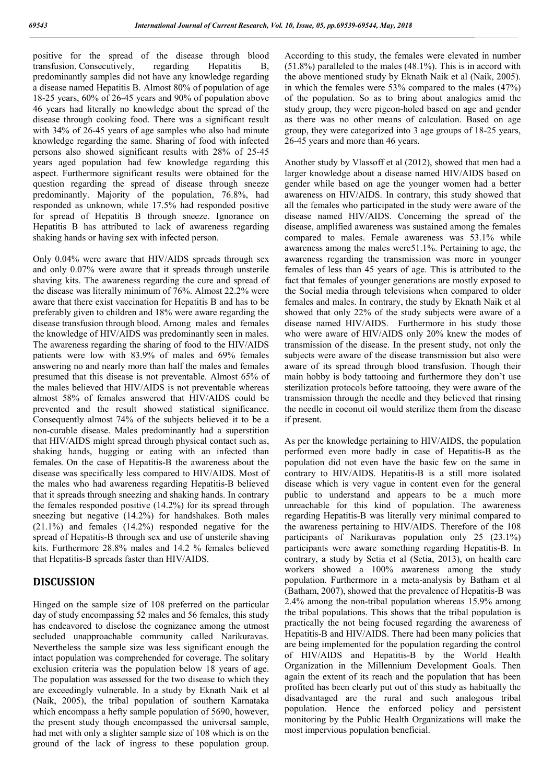positive for the spread of the disease through blood transfusion. Consecutively, regarding Hepatitis B, transfusion. Consecutively, regarding Hepatitis B, predominantly samples did not have any knowledge regarding a disease named Hepatitis B. Almost 80% of population of age 18-25 years, 60% of 26-45 years and 90% of population above 46 years had literally no knowledge about the spread of the disease through cooking food. There was a significant result with 34% of 26-45 years of age samples who also had minute knowledge regarding the same. Sharing of food with infected persons also showed significant results with 28% of 25-45 years aged population had few knowledge regarding this aspect. Furthermore significant results were obtained for the question regarding the spread of disease through sneeze predominantly. Majority of the population, 76.8%, had responded as unknown, while 17.5% had responded positive for spread of Hepatitis B through sneeze. Ignorance on Hepatitis B has attributed to lack of awareness regarding shaking hands or having sex with infected person.

Only 0.04% were aware that HIV/AIDS spreads through sex and only 0.07% were aware that it spreads through unsterile shaving kits. The awareness regarding the cure and spread of the disease was literally minimum of 76%. Almost 22.2% were aware that there exist vaccination for Hepatitis B and has to be preferably given to children and 18% were aware regarding the disease transfusion through blood. Among males and females the knowledge of HIV/AIDS was predominantly seen in males. The awareness regarding the sharing of food to the HIV/AIDS patients were low with 83.9% of males and 69% females answering no and nearly more than half the males and females presumed that this disease is not preventable. Almost 65% of the males believed that HIV/AIDS is not preventable whereas almost 58% of females answered that HIV/AIDS could be prevented and the result showed statistical significance. Consequently almost 74% of the subjects believed it to be a non-curable disease. Males predominantly had a superstition that HIV/AIDS might spread through physical contact such as, shaking hands, hugging or eating with an infected than females. On the case of Hepatitis-B the awareness about the disease was specifically less compared to HIV/AIDS. Most of the males who had awareness regarding Hepatitis-B believed that it spreads through sneezing and shaking hands. In contrary the females responded positive (14.2%) for its spread through sneezing but negative (14.2%) for handshakes. Both males (21.1%) and females (14.2%) responded negative for the spread of Hepatitis-B through sex and use of unsterile shaving kits. Furthermore 28.8% males and 14.2 % females believed that Hepatitis-B spreads faster than HIV/AIDS.

## **DISCUSSION**

Hinged on the sample size of 108 preferred on the particular day of study encompassing 52 males and 56 females, this study has endeavored to disclose the cognizance among the utmost secluded unapproachable community called Narikuravas. Nevertheless the sample size was less significant enough the intact population was comprehended for coverage. The solitary exclusion criteria was the population below 18 years of age. The population was assessed for the two disease to which they are exceedingly vulnerable. In a study by Eknath Naik et al (Naik, 2005), the tribal population of southern Karnataka which encompass a hefty sample population of 5690, however, the present study though encompassed the universal sample, had met with only a slighter sample size of 108 which is on the ground of the lack of ingress to these population group.

According to this study, the females were elevated in number (51.8%) paralleled to the males (48.1%). This is in accord with the above mentioned study by Eknath Naik et al (Naik, 2005). in which the females were 53% compared to the males (47%) of the population. So as to bring about analogies amid the study group, they were pigeon-holed based on age and gender as there was no other means of calculation. Based on age group, they were categorized into 3 age groups of 18-25 years, 26-45 years and more than 46 years.

Another study by Vlassoff et al (2012), showed that men had a larger knowledge about a disease named HIV/AIDS based on gender while based on age the younger women had a better awareness on HIV/AIDS. In contrary, this study showed that all the females who participated in the study were aware of the disease named HIV/AIDS. Concerning the spread of the disease, amplified awareness was sustained among the females compared to males. Female awareness was 53.1% while awareness among the males were51.1%. Pertaining to age, the awareness regarding the transmission was more in younger females of less than 45 years of age. This is attributed to the fact that females of younger generations are mostly exposed to the Social media through televisions when compared to older females and males. In contrary, the study by Eknath Naik et al showed that only 22% of the study subjects were aware of a disease named HIV/AIDS. Furthermore in his study those who were aware of HIV/AIDS only 20% knew the modes of transmission of the disease. In the present study, not only the subjects were aware of the disease transmission but also were aware of its spread through blood transfusion. Though their main hobby is body tattooing and furthermore they don't use sterilization protocols before tattooing, they were aware of the transmission through the needle and they believed that rinsing the needle in coconut oil would sterilize them from the disease if present.

As per the knowledge pertaining to HIV/AIDS, the population performed even more badly in case of Hepatitis-B as the population did not even have the basic few on the same in contrary to HIV/AIDS. Hepatitis-B is a still more isolated disease which is very vague in content even for the general public to understand and appears to be a much more unreachable for this kind of population. The awareness regarding Hepatitis-B was literally very minimal compared to the awareness pertaining to HIV/AIDS. Therefore of the 108 participants of Narikuravas population only 25 (23.1%) participants were aware something regarding Hepatitis-B. In contrary, a study by Setia et al (Setia, 2013), on health care workers showed a 100% awareness among the study population. Furthermore in a meta-analysis by Batham et al (Batham, 2007), showed that the prevalence of Hepatitis-B was 2.4% among the non-tribal population whereas 15.9% among the tribal populations. This shows that the tribal population is practically the not being focused regarding the awareness of Hepatitis-B and HIV/AIDS. There had been many policies that are being implemented for the population regarding the control of HIV/AIDS and Hepatitis-B by the World Health Organization in the Millennium Development Goals. Then again the extent of its reach and the population that has been profited has been clearly put out of this study as habitually the disadvantaged are the rural and such analogous tribal population. Hence the enforced policy and persistent monitoring by the Public Health Organizations will make the most impervious population beneficial.